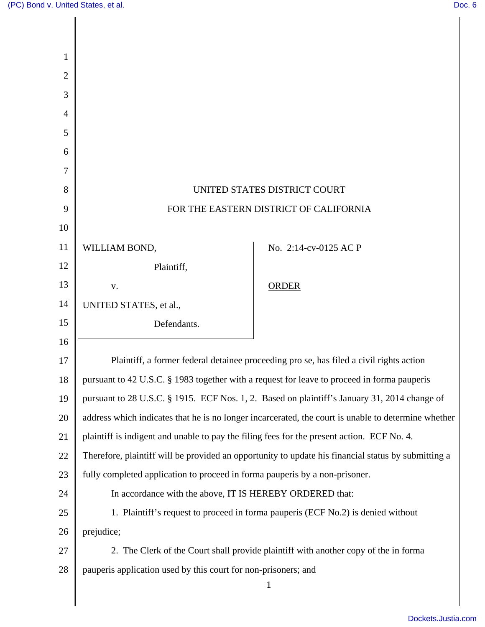| 1              |                                                                                                     |                                                                                  |
|----------------|-----------------------------------------------------------------------------------------------------|----------------------------------------------------------------------------------|
| $\overline{2}$ |                                                                                                     |                                                                                  |
| 3              |                                                                                                     |                                                                                  |
| $\overline{4}$ |                                                                                                     |                                                                                  |
| 5              |                                                                                                     |                                                                                  |
| 6              |                                                                                                     |                                                                                  |
| 7              |                                                                                                     |                                                                                  |
| 8              | UNITED STATES DISTRICT COURT                                                                        |                                                                                  |
| 9              | FOR THE EASTERN DISTRICT OF CALIFORNIA                                                              |                                                                                  |
| 10             |                                                                                                     |                                                                                  |
| 11             | WILLIAM BOND,                                                                                       | No. 2:14-cv-0125 AC P                                                            |
| 12             | Plaintiff,                                                                                          |                                                                                  |
| 13             | V.                                                                                                  | <b>ORDER</b>                                                                     |
| 14             | UNITED STATES, et al.,                                                                              |                                                                                  |
| 15             | Defendants.                                                                                         |                                                                                  |
| 16             |                                                                                                     |                                                                                  |
| 17             | Plaintiff, a former federal detainee proceeding pro se, has filed a civil rights action             |                                                                                  |
| 18             | pursuant to 42 U.S.C. § 1983 together with a request for leave to proceed in forma pauperis         |                                                                                  |
| 19             | pursuant to 28 U.S.C. § 1915. ECF Nos. 1, 2. Based on plaintiff's January 31, 2014 change of        |                                                                                  |
| 20             | address which indicates that he is no longer incarcerated, the court is unable to determine whether |                                                                                  |
| 21             | plaintiff is indigent and unable to pay the filing fees for the present action. ECF No. 4.          |                                                                                  |
| 22             | Therefore, plaintiff will be provided an opportunity to update his financial status by submitting a |                                                                                  |
| 23             | fully completed application to proceed in forma pauperis by a non-prisoner.                         |                                                                                  |
| 24             | In accordance with the above, IT IS HEREBY ORDERED that:                                            |                                                                                  |
| 25             |                                                                                                     | 1. Plaintiff's request to proceed in forma pauperis (ECF No.2) is denied without |
| 26             | prejudice;                                                                                          |                                                                                  |
| 27             | 2. The Clerk of the Court shall provide plaintiff with another copy of the in forma                 |                                                                                  |
| 28             | pauperis application used by this court for non-prisoners; and                                      |                                                                                  |
|                |                                                                                                     | 1                                                                                |
|                |                                                                                                     |                                                                                  |